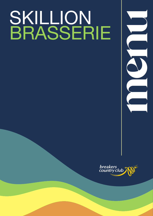# SKILLION<br>BRASSERIE



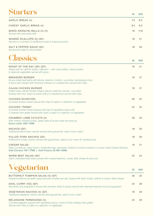### Starters

|                                                                                          |     | .    |
|------------------------------------------------------------------------------------------|-----|------|
| GARLIC BREAD (4)                                                                         | 7.5 | 8.3  |
| CHEESY GARLIC BREAD (4)                                                                  | 8.5 | 9.3  |
| MIXED ARANCINI BALLS (3) (V)<br>Served with basil pesto aioli                            | 16  | 17.6 |
| SEARED SCALLOPS (5) (GF)<br>Served on a turmeric & cauliflower puree & crispy prosciutto | 19  | 21   |
| SALT & PEPPER SQUID (GF)<br>Served with salad & citrus tartare                           | 18  | 20   |

M NM

M NM



| ROAST OF THE DAY (GF) (DF)<br>Please ask our staff for today's selection - with roast potato, roast pumpkin<br>& steamed vegetables served with gravy                                     | 19 | 21 |
|-------------------------------------------------------------------------------------------------------------------------------------------------------------------------------------------|----|----|
| <b>BREAKERS BURGER</b><br>House made beef patty with lettuce, beetroot, tomato, cucumber, caramelised onion<br>& bacon jam topped with American cheese on a toasted bun served with chips | 19 | 21 |
| <b>CAJUN CHICKEN BURGER</b><br>Grilled Cajun spiced chicken breast, lettuce, beetroot, tomato, cucumber,<br>finished with sour cream & sweet chilli on a toasted bun served with chips    | 19 | 21 |
| <b>CHICKEN SCHNITZEL</b><br>Crumbed chicken breast served with chips & salad or a selection of vegetables                                                                                 | 20 | 22 |
| CHICKEN "PARMI"<br>Crumbed chicken breast topped with ham & napolitana sauce with<br>3 cheeses then grilled served with chips & salad or a selection of vegetables                        | 22 | 24 |
| CRUMBED LAMB CUTLETS (2)<br>With creamy mashed potato, green peas & house made red wine jus<br>Extra cutlet 10M 11NM                                                                      | 30 | 33 |
| NACHOS (GF)<br>Traditional beef & bean nachos served with guacamole, salsa & sour cream                                                                                                   | 18 | 20 |
| PULLED PORK NACHOS (GF)<br>Pulled pork & bean nachos served with guacamole, salsa & sour cream & crackling dust                                                                           | 18 | 20 |
| <b>CAESAR SALAD</b><br>Baby cos lettuce, crispy bacon, hardboiled egg, parmesan cheese & croutons tossed in a house made Caesar dressing<br>Add Chicken 7M 7.7NM   Add Prawns (4) 9M 10NM | 19 | 21 |
| WARM BEEF SALAD (GF)<br>Garlic marinated beef strips tossed with roasted beetroot, rocket, fetta cheese & pine nuts                                                                       | 22 | 24 |



|                                                                                                                                                                          | $\mathbf{v}$ | .  |
|--------------------------------------------------------------------------------------------------------------------------------------------------------------------------|--------------|----|
| BUTTERNUT PUMPKIN SALAD (V) (GF)<br>Roasted butternut pumpkin seasoned with smoked sea salt, tossed with fresh rocket, dukkha & creamy fetta cheese                      | 20           | 22 |
| DHAL CURRY (VG) (GF)<br>Red lentil curry prepared in house with aromatic herbs & spices served with steamed basmati rice and poppadom                                    | 24           | 26 |
| VEGETARIAN NACHOS (V) (GF)<br>Traditional vegetarian nachos served with guacamole, salsa & sour cream                                                                    | 18           | 20 |
| MELANZANE PARMIGIANA (V)<br>Crumbed eggplant topped with napolitana sauce; rocket & three cheeses then grilled<br>Served with chips & salad or a selection of vegetables | 24           | 26 |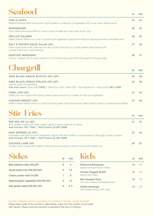# Seafood

| .                                                                                                                                                                            | м  | NM. |
|------------------------------------------------------------------------------------------------------------------------------------------------------------------------------|----|-----|
| <b>FISH N CHIPS</b><br>Battered flathead fillets served with chips & salad or a selection of vegetables with house made tartare sauce                                        | 22 | 24  |
| <b>BARRAMUNDI</b><br>Oven baked barramundi fillet on a bed of soba noodles with miso broth & bok choy                                                                        | 29 | 32  |
| <b>GRILLED SALMON</b><br>Grilled Atlantic Salmon on a bed of roasted root vegetables topped with beetroot mascarpone with caramelised lime                                   | 29 | 32  |
| SALT & PEPPER SQUID SALAD (GF)<br>Fresh squid tossed with seasoned rice flour & fried until crispy on a fresh garden salad topped with<br>a sweet chilli house made dressing | 27 | 30  |
| <b>SEAFOOD MARINARA</b><br>Prawns, scallops, fish & squid tossed in a rich tomato sauce with fettuccine topped with gremolata                                                | 28 | 31  |
| $\Omega$ in $\Omega$ in $\Omega$                                                                                                                                             |    |     |

| <b>CHARGE STILL</b>                                                                                                                                                                           | M  | <b>NM</b> |
|-----------------------------------------------------------------------------------------------------------------------------------------------------------------------------------------------|----|-----------|
| 300G BLACK ANGUS SCOTCH (GF) (DF)                                                                                                                                                             | 35 | 38        |
| 300G BLACK ANGUS SIRLOIN (GF) (DF)<br>chips & salad OR vegetables<br>Add side sauce: Gravy (GF) FREE   $\cdot$ Mushroom (GF) $\cdot$ Diane (GF) $\cdot$ Pink Peppercorn + Bacon (GF) 2M 2.2NM | 33 | 36        |
| PORK LOIN (GF)<br>Grilled pork loin topped with brandy cream prawns served on a medley of roast root vegetables                                                                               | 31 | 34        |
| CHICKEN BREAST (GF)<br>Grilled chicken breast served on a bed of creamy garlic mash topped with wilted spinach cream & toasted almond flakes                                                  | 27 | 29        |

## Stir Fries

| A JUDIT THE TUBE OF THE PART                                                                                                                                                                  |    | <b>NM</b> |
|-----------------------------------------------------------------------------------------------------------------------------------------------------------------------------------------------|----|-----------|
| PAD SEE EW (V) (GF)<br>Rice noodles tossed with Asian greens, garlic & house made stir fry sauce<br>Add Chicken 7M 7.7NM   Add Prawns (4) 9M 10NM                                             | 21 | 23        |
| NASI GORENG (V) (GF)<br>Indonesian style fried rice with vegetables, topped with fried shallots, crushed peanuts, fried egg & prawn crackers<br>Add Chicken 7M 7.7NM   Add Prawns (4) 9M 10NM | 22 | 24        |
| CHICKEN LARB (GF)<br>Chicken mince tossed with fragrant herbs & spices served on a bed of rocket with toasted roti                                                                            | 20 | 22        |

| <b>Sides</b>                            |   |     |
|-----------------------------------------|---|-----|
|                                         | M | N M |
| Beer battered chips (VG) (DF)           | 8 | 9   |
| Sweet potato fries (VG) (GF) (DF)       | 9 | 10  |
| Creamy potato mash (V) (GF)             | 7 | 8   |
| Steamed green vegetables (VG) (GF) (DF) | 9 | 10  |
| Side garden salad (VG) (GF) (DF)        | 6 | 6.5 |
|                                         |   |     |

#### Kids M NM Fettuccine Bolognaise *topped with parmesan cheese* 10 11 Chicken Nuggets (6) (DF) *served with chips* 10 11 Mini Hawaiian Pizza *mini ham cheese & pineapple pizza* 10 11 Grilled Hamburger 10 11